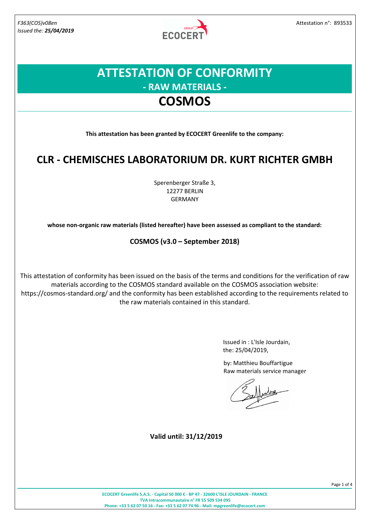*Issued the: 25/04/2019*

**ECOCERT** 

## **ATTESTATION OF CONFORMITY - RAW MATERIALS - COSMOS**

**This attestation has been granted by ECOCERT Greenlife to the company:**

### **CLR - CHEMISCHES LABORATORIUM DR. KURT RICHTER GMBH**

Sperenberger Straße 3, 12277 BERLIN GERMANY

**whose non-organic raw materials (listed hereafter) have been assessed as compliant to the standard:**

**COSMOS (v3.0 – September 2018)**

This attestation of conformity has been issued on the basis of the terms and conditions for the verification of raw materials according to the COSMOS standard available on the COSMOS association website: https://cosmos-standard.org/ and the conformity has been established according to the requirements related to the raw materials contained in this standard.

> Issued in : L'Isle Jourdain, the: 25/04/2019,

by: Matthieu Bouffartigue Raw materials service manager

**Valid until: 31/12/2019**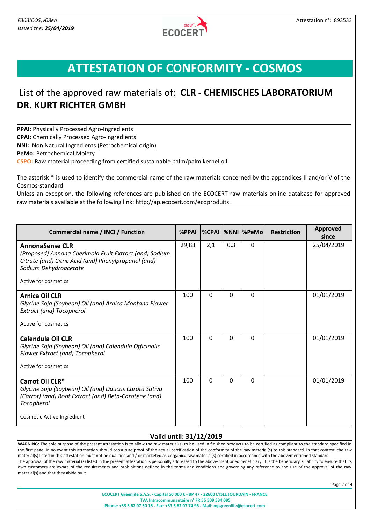

## **ATTESTATION OF CONFORMITY - COSMOS**

### List of the approved raw materials of: **CLR - CHEMISCHES LABORATORIUM DR. KURT RICHTER GMBH**

**PPAI:** Physically Processed Agro-Ingredients **CPAI:** Chemically Processed Agro-Ingredients **NNI:** Non Natural Ingredients (Petrochemical origin)

**PeMo:** Petrochemical Moiety

**CSPO:** Raw material proceeding from certified sustainable palm/palm kernel oil

The asterisk \* is used to identify the commercial name of the raw materials concerned by the appendices II and/or V of the Cosmos-standard.

Unless an exception, the following references are published on the ECOCERT raw materials online database for approved raw materials available at the following link: http://ap.ecocert.com/ecoproduits.

| <b>Commercial name / INCI / Function</b>                                                                                                                                                  | <b>%PPAI</b> | $%$ CPAI |          | %NNI  %PeMo | <b>Restriction</b> | <b>Approved</b><br>since |
|-------------------------------------------------------------------------------------------------------------------------------------------------------------------------------------------|--------------|----------|----------|-------------|--------------------|--------------------------|
| <b>AnnonaSense CLR</b><br>(Proposed) Annona Cherimola Fruit Extract (and) Sodium<br>Citrate (and) Citric Acid (and) Phenylpropanol (and)<br>Sodium Dehydroacetate<br>Active for cosmetics | 29,83        | 2,1      | 0,3      | $\Omega$    |                    | 25/04/2019               |
| <b>Arnica Oil CLR</b><br>Glycine Soja (Soybean) Oil (and) Arnica Montana Flower<br><b>Extract (and) Tocopherol</b><br>Active for cosmetics                                                | 100          | $\Omega$ | $\Omega$ | $\Omega$    |                    | 01/01/2019               |
| Calendula Oil CLR<br>Glycine Soja (Soybean) Oil (and) Calendula Officinalis<br>Flower Extract (and) Tocopherol<br>Active for cosmetics                                                    | 100          | $\Omega$ | 0        | $\Omega$    |                    | 01/01/2019               |
| Carrot Oil CLR*<br>Glycine Soja (Soybean) Oil (and) Daucus Carota Sativa<br>(Carrot) (and) Root Extract (and) Beta-Carotene (and)<br>Tocopherol<br>Cosmetic Active Ingredient             | 100          | $\Omega$ | 0        | $\Omega$    |                    | 01/01/2019               |

#### **Valid until: 31/12/2019**

WARNING: The sole purpose of the present attestation is to allow the raw material(s) to be used in finished products to be certified as compliant to the standard specified in the first page. In no event this attestation should constitute proof of the actual certification of the conformity of the raw material(s) to this standard. In that context, the raw material(s) listed in this attestation must not be qualified and / or marketed as «organic» raw material(s) certified in accordance with the abovementioned standard. The approval of the raw material (s) listed in the present attestation is personally addressed to the above-mentioned beneficiary. It is the beneficiary's liability to ensure that its own customers are aware of the requirements and prohibitions defined in the terms and conditions and governing any reference to and use of the approval of the raw material(s) and that they abide by it.

Page 2 of 4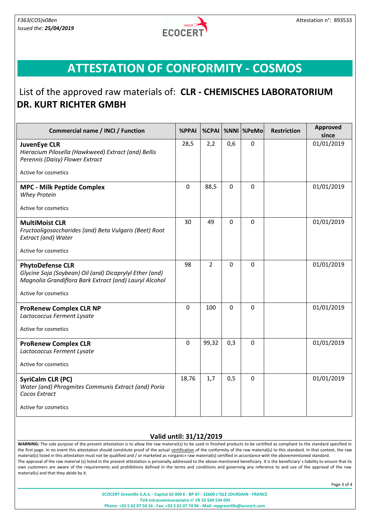

# **ATTESTATION OF CONFORMITY - COSMOS**

### List of the approved raw materials of: **CLR - CHEMISCHES LABORATORIUM DR. KURT RICHTER GMBH**

| <b>Commercial name / INCI / Function</b>                                                                                                                             | %PPAI       | %CPAI          |          | %NNI  %PeMo  | <b>Restriction</b> | <b>Approved</b><br>since |
|----------------------------------------------------------------------------------------------------------------------------------------------------------------------|-------------|----------------|----------|--------------|--------------------|--------------------------|
| <b>JuvenEye CLR</b><br>Hieracium Pilosella (Hawkweed) Extract (and) Bellis<br>Perennis (Daisy) Flower Extract                                                        | 28,5        | 2,2            | 0,6      | $\mathbf 0$  |                    | 01/01/2019               |
| Active for cosmetics                                                                                                                                                 |             |                |          |              |                    |                          |
| <b>MPC - Milk Peptide Complex</b><br><b>Whey Protein</b>                                                                                                             | $\mathbf 0$ | 88,5           | $\Omega$ | $\mathbf 0$  |                    | 01/01/2019               |
| Active for cosmetics                                                                                                                                                 |             |                |          |              |                    |                          |
| <b>MultiMoist CLR</b><br>Fructooligosaccharides (and) Beta Vulgaris (Beet) Root<br>Extract (and) Water                                                               | 30          | 49             | $\Omega$ | $\mathbf 0$  |                    | 01/01/2019               |
| Active for cosmetics                                                                                                                                                 |             |                |          |              |                    |                          |
| <b>PhytoDefense CLR</b><br>Glycine Soja (Soybean) Oil (and) Dicaprylyl Ether (and)<br>Magnolia Grandiflora Bark Extract (and) Lauryl Alcohol<br>Active for cosmetics | 98          | $\overline{2}$ | $\Omega$ | $\mathbf{0}$ |                    | 01/01/2019               |
| <b>ProRenew Complex CLR NP</b><br>Lactococcus Ferment Lysate<br>Active for cosmetics                                                                                 | $\mathbf 0$ | 100            | $\Omega$ | $\mathbf 0$  |                    | 01/01/2019               |
| <b>ProRenew Complex CLR</b><br>Lactococcus Ferment Lysate                                                                                                            | $\mathbf 0$ | 99,32          | 0,3      | $\mathbf 0$  |                    | 01/01/2019               |
| Active for cosmetics                                                                                                                                                 |             |                |          |              |                    |                          |
| <b>SyriCalm CLR (PC)</b><br>Water (and) Phragmites Communis Extract (and) Poria<br>Cocos Extract                                                                     | 18,76       | 1,7            | 0,5      | $\mathbf 0$  |                    | 01/01/2019               |
| Active for cosmetics                                                                                                                                                 |             |                |          |              |                    |                          |

#### **Valid until: 31/12/2019**

WARNING: The sole purpose of the present attestation is to allow the raw material(s) to be used in finished products to be certified as compliant to the standard specified in the first page. In no event this attestation should constitute proof of the actual certification of the conformity of the raw material(s) to this standard. In that context, the raw material(s) listed in this attestation must not be qualified and / or marketed as «organic» raw material(s) certified in accordance with the abovementioned standard. The approval of the raw material (s) listed in the present attestation is personally addressed to the above-mentioned beneficiary. It is the beneficiary's liability to ensure that its own customers are aware of the requirements and prohibitions defined in the terms and conditions and governing any reference to and use of the approval of the raw material(s) and that they abide by it.

Page 3 of 4